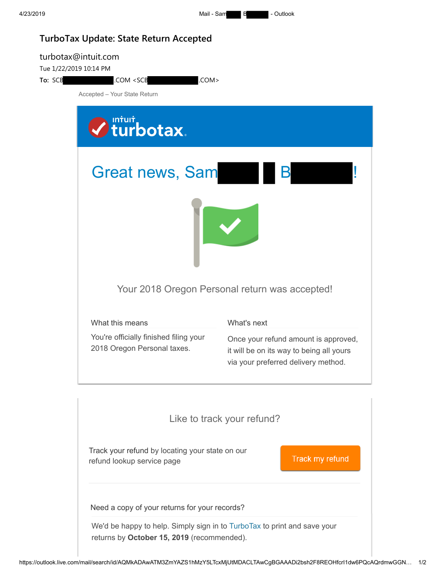## **TurboTax Update: State Return Accepted**

| turbotax@intuit.com<br>Tue 1/22/2019 10:14 PM<br>To: SCB<br>.COM <scb<br>COM&gt;</scb<br> |                                                                                                                                                                                                                                                                                                           |                                                                                                                         |  |
|-------------------------------------------------------------------------------------------|-----------------------------------------------------------------------------------------------------------------------------------------------------------------------------------------------------------------------------------------------------------------------------------------------------------|-------------------------------------------------------------------------------------------------------------------------|--|
| Accepted - Your State Return                                                              |                                                                                                                                                                                                                                                                                                           |                                                                                                                         |  |
|                                                                                           | Intuit<br>Iturbotax.                                                                                                                                                                                                                                                                                      |                                                                                                                         |  |
| <b>Great news, Sam</b>                                                                    |                                                                                                                                                                                                                                                                                                           |                                                                                                                         |  |
|                                                                                           |                                                                                                                                                                                                                                                                                                           |                                                                                                                         |  |
| Your 2018 Oregon Personal return was accepted!                                            |                                                                                                                                                                                                                                                                                                           |                                                                                                                         |  |
|                                                                                           | What this means                                                                                                                                                                                                                                                                                           | What's next                                                                                                             |  |
|                                                                                           | You're officially finished filing your<br>2018 Oregon Personal taxes.                                                                                                                                                                                                                                     | Once your refund amount is approved,<br>it will be on its way to being all yours<br>via your preferred delivery method. |  |
|                                                                                           | Like to track your refund?<br>Track your refund by locating your state on our<br>Track my refund<br>refund lookup service page<br>Need a copy of your returns for your records?<br>We'd be happy to help. Simply sign in to TurboTax to print and save your<br>returns by October 15, 2019 (recommended). |                                                                                                                         |  |
|                                                                                           |                                                                                                                                                                                                                                                                                                           |                                                                                                                         |  |
|                                                                                           |                                                                                                                                                                                                                                                                                                           |                                                                                                                         |  |
|                                                                                           |                                                                                                                                                                                                                                                                                                           |                                                                                                                         |  |